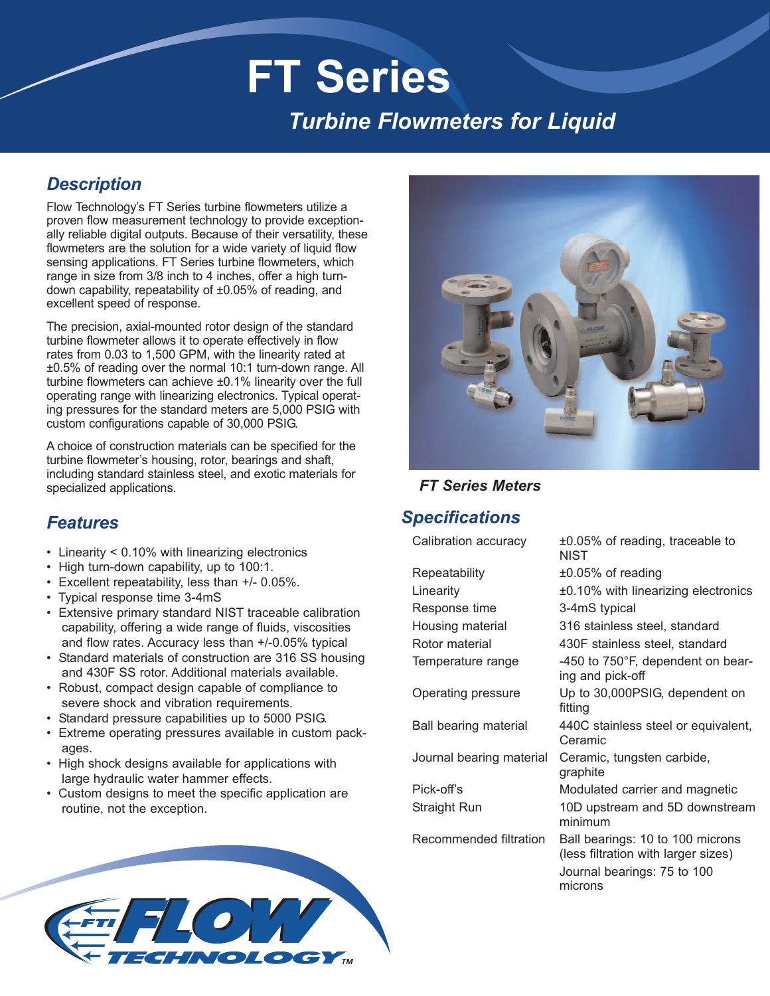# **FT Series** *Turbine Flowmeters for Liquid*

### *Description*

Flow Technology's FT Series turbine flowmeters utilize a proven flow measurement technology to provide exceptionally reliable digital outputs. Because of their versatility, these flowmeters are the solution for a wide variety of liquid flow sensing applications. FT Series turbine flowmeters, which range in size from 3/8 inch to 4 inches, offer a high turndown capability, repeatability of ±0.05% of reading, and excellent speed of response.

The precision, axial-mounted rotor design of the standard turbine flowmeter allows it to operate effectively in flow rates from 0.03 to 1,500 GPM, with the linearity rated at ±0.5% of reading over the normal 10:1 turn-down range. All turbine flowmeters can achieve ±0.1% linearity over the full operating range with linearizing electronics. Typical operating pressures for the standard meters are 5,000 PSIG with custom configurations capable of 30,000 PSIG.

A choice of construction materials can be specified for the turbine flowmeter's housing, rotor, bearings and shaft, including standard stainless steel, and exotic materials for specialized applications.

### *Features*

- Linearity < 0.10% with linearizing electronics
- High turn-down capability, up to 100:1.
- Excellent repeatability, less than +/- 0.05%.
- Typical response time 3-4mS
- Extensive primary standard NIST traceable calibration capability, offering a wide range of fluids, viscosities and flow rates. Accuracy less than +/-0.05% typical
- Standard materials of construction are 316 SS housing and 430F SS rotor. Additional materials available.
- Robust, compact design capable of compliance to severe shock and vibration requirements.
- Standard pressure capabilities up to 5000 PSIG.
- Extreme operating pressures available in custom packages.
- High shock designs available for applications with large hydraulic water hammer effects.
- Custom designs to meet the specific application are routine, not the exception.



### *FT Series Meters*

### *Specifications*

Calibration accuracy  $\pm 0.05\%$  of reading, traceable to **NIST** Repeatability ±0.05% of reading Linearity ±0.10% with linearizing electronics Response time 3-4mS typical Housing material 316 stainless steel, standard Rotor material 430F stainless steel, standard Temperature range  $-450$  to 750 $\degree$ F, dependent on bearing and pick-off Operating pressure Up to 30,000PSIG, dependent on fitting Ball bearing material 440C stainless steel or equivalent, Ceramic Journal bearing material Ceramic, tungsten carbide, graphite Pick-off's Modulated carrier and magnetic Straight Run 10D upstream and 5D downstream minimum Recommended filtration Ball bearings: 10 to 100 microns (less filtration with larger sizes) Journal bearings: 75 to 100 microns

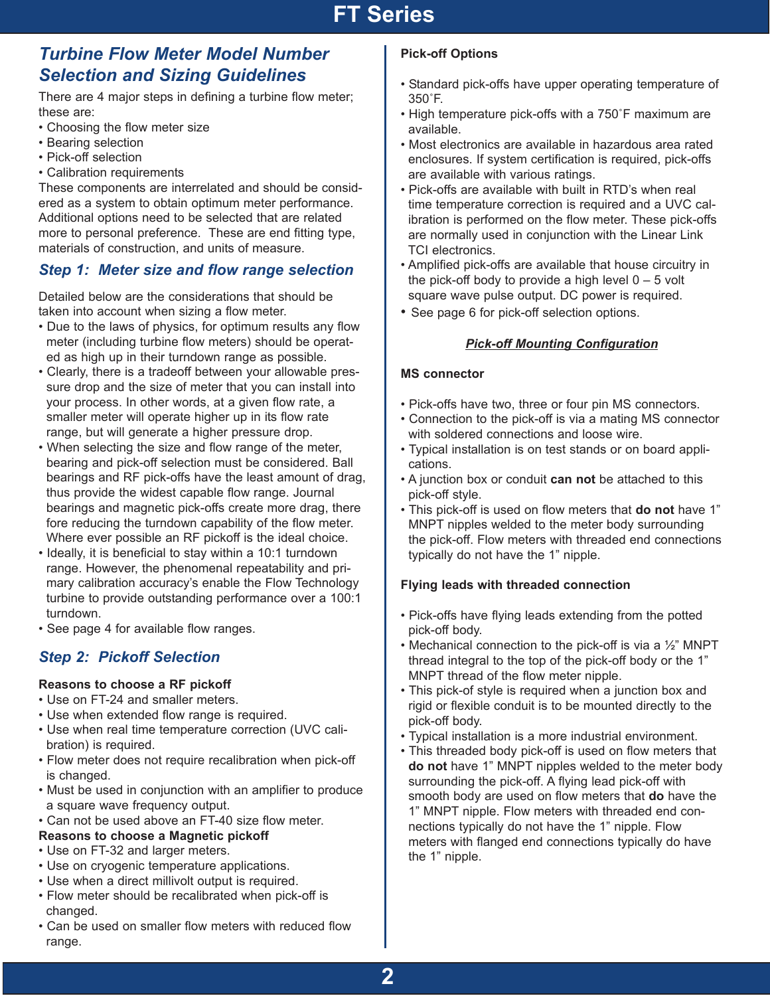### *Turbine Flow Meter Model Number Selection and Sizing Guidelines*

There are 4 major steps in defining a turbine flow meter; these are:

- Choosing the flow meter size
- Bearing selection
- Pick-off selection
- Calibration requirements

These components are interrelated and should be considered as a system to obtain optimum meter performance. Additional options need to be selected that are related more to personal preference. These are end fitting type, materials of construction, and units of measure.

### *Step 1: Meter size and flow range selection*

Detailed below are the considerations that should be taken into account when sizing a flow meter.

- Due to the laws of physics, for optimum results any flow meter (including turbine flow meters) should be operated as high up in their turndown range as possible.
- Clearly, there is a tradeoff between your allowable pressure drop and the size of meter that you can install into your process. In other words, at a given flow rate, a smaller meter will operate higher up in its flow rate range, but will generate a higher pressure drop.
- When selecting the size and flow range of the meter, bearing and pick-off selection must be considered. Ball bearings and RF pick-offs have the least amount of drag, thus provide the widest capable flow range. Journal bearings and magnetic pick-offs create more drag, there fore reducing the turndown capability of the flow meter. Where ever possible an RF pickoff is the ideal choice.
- Ideally, it is beneficial to stay within a 10:1 turndown range. However, the phenomenal repeatability and primary calibration accuracy's enable the Flow Technology turbine to provide outstanding performance over a 100:1 turndown.
- See page 4 for available flow ranges.

### *Step 2: Pickoff Selection*

#### **Reasons to choose a RF pickoff**

- Use on FT-24 and smaller meters.
- Use when extended flow range is required.
- Use when real time temperature correction (UVC calibration) is required.
- Flow meter does not require recalibration when pick-off is changed.
- Must be used in conjunction with an amplifier to produce a square wave frequency output.
- Can not be used above an FT-40 size flow meter.

#### **Reasons to choose a Magnetic pickoff**

- Use on FT-32 and larger meters.
- Use on cryogenic temperature applications.
- Use when a direct millivolt output is required.
- Flow meter should be recalibrated when pick-off is changed.
- Can be used on smaller flow meters with reduced flow range.

#### **Pick-off Options**

- Standard pick-offs have upper operating temperature of 350˚F.
- High temperature pick-offs with a 750˚F maximum are available.
- Most electronics are available in hazardous area rated enclosures. If system certification is required, pick-offs are available with various ratings.
- Pick-offs are available with built in RTD's when real time temperature correction is required and a UVC calibration is performed on the flow meter. These pick-offs are normally used in conjunction with the Linear Link TCI electronics.
- Amplified pick-offs are available that house circuitry in the pick-off body to provide a high level  $0 - 5$  volt square wave pulse output. DC power is required.
- See page 6 for pick-off selection options.

#### *Pick-off Mounting Configuration*

#### **MS connector**

- Pick-offs have two, three or four pin MS connectors.
- Connection to the pick-off is via a mating MS connector with soldered connections and loose wire.
- Typical installation is on test stands or on board applications.
- A junction box or conduit **can not** be attached to this pick-off style.
- This pick-off is used on flow meters that **do not** have 1" MNPT nipples welded to the meter body surrounding the pick-off. Flow meters with threaded end connections typically do not have the 1" nipple.

#### **Flying leads with threaded connection**

- Pick-offs have flying leads extending from the potted pick-off body.
- Mechanical connection to the pick-off is via a 1/2" MNPT thread integral to the top of the pick-off body or the 1" MNPT thread of the flow meter nipple.
- This pick-of style is required when a junction box and rigid or flexible conduit is to be mounted directly to the pick-off body.
- Typical installation is a more industrial environment.
- This threaded body pick-off is used on flow meters that **do not** have 1" MNPT nipples welded to the meter body surrounding the pick-off. A flying lead pick-off with smooth body are used on flow meters that **do** have the 1" MNPT nipple. Flow meters with threaded end connections typically do not have the 1" nipple. Flow meters with flanged end connections typically do have the 1" nipple.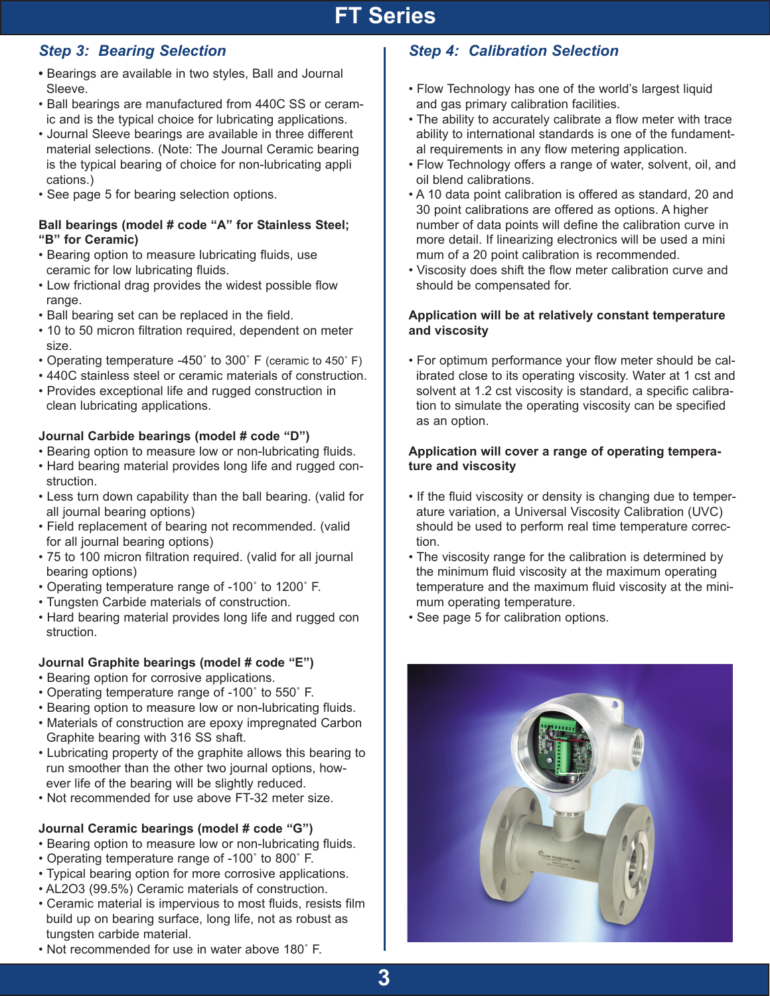### *Step 3: Bearing Selection*

- **•** Bearings are available in two styles, Ball and Journal Sleeve.
- Ball bearings are manufactured from 440C SS or ceramic and is the typical choice for lubricating applications.
- Journal Sleeve bearings are available in three different material selections. (Note: The Journal Ceramic bearing is the typical bearing of choice for non-lubricating appli cations.)
- See page 5 for bearing selection options.

#### **Ball bearings (model # code "A" for Stainless Steel; "B" for Ceramic)**

- Bearing option to measure lubricating fluids, use ceramic for low lubricating fluids.
- Low frictional drag provides the widest possible flow range.
- Ball bearing set can be replaced in the field.
- 10 to 50 micron filtration required, dependent on meter size.
- Operating temperature -450˚ to 300˚ F (ceramic to 450˚ F)
- 440C stainless steel or ceramic materials of construction.
- Provides exceptional life and rugged construction in clean lubricating applications.

### **Journal Carbide bearings (model # code "D")**

- Bearing option to measure low or non-lubricating fluids.
- Hard bearing material provides long life and rugged construction.
- Less turn down capability than the ball bearing. (valid for all journal bearing options)
- Field replacement of bearing not recommended. (valid for all journal bearing options)
- 75 to 100 micron filtration required. (valid for all journal bearing options)
- Operating temperature range of -100˚ to 1200˚ F.
- Tungsten Carbide materials of construction.
- Hard bearing material provides long life and rugged con struction.

### **Journal Graphite bearings (model # code "E")**

- Bearing option for corrosive applications.
- Operating temperature range of -100˚ to 550˚ F.
- Bearing option to measure low or non-lubricating fluids.
- Materials of construction are epoxy impregnated Carbon Graphite bearing with 316 SS shaft.
- Lubricating property of the graphite allows this bearing to run smoother than the other two journal options, however life of the bearing will be slightly reduced.
- Not recommended for use above FT-32 meter size.

### **Journal Ceramic bearings (model # code "G")**

- Bearing option to measure low or non-lubricating fluids.
- Operating temperature range of -100˚ to 800˚ F.
- Typical bearing option for more corrosive applications.
- AL2O3 (99.5%) Ceramic materials of construction.
- Ceramic material is impervious to most fluids, resists film build up on bearing surface, long life, not as robust as tungsten carbide material.
- - For optimum performance your flow meter should be calibrated close to its operating viscosity. Water at 1 cst and solvent at 1.2 cst viscosity is standard, a specific calibration to simulate the operating viscosity can be specified as an option.

#### **Application will cover a range of operating temperature and viscosity**

- If the fluid viscosity or density is changing due to temperature variation, a Universal Viscosity Calibration (UVC) should be used to perform real time temperature correction.
- The viscosity range for the calibration is determined by the minimum fluid viscosity at the maximum operating temperature and the maximum fluid viscosity at the minimum operating temperature.
- See page 5 for calibration options.

*Step 4: Calibration Selection*

and gas primary calibration facilities.

oil blend calibrations.

should be compensated for.

**and viscosity**

• Flow Technology has one of the world's largest liquid

al requirements in any flow metering application.

mum of a 20 point calibration is recommended.

• The ability to accurately calibrate a flow meter with trace ability to international standards is one of the fundament-

• Flow Technology offers a range of water, solvent, oil, and

• A 10 data point calibration is offered as standard, 20 and 30 point calibrations are offered as options. A higher number of data points will define the calibration curve in more detail. If linearizing electronics will be used a mini

• Viscosity does shift the flow meter calibration curve and

**Application will be at relatively constant temperature**



• Not recommended for use in water above 180˚ F.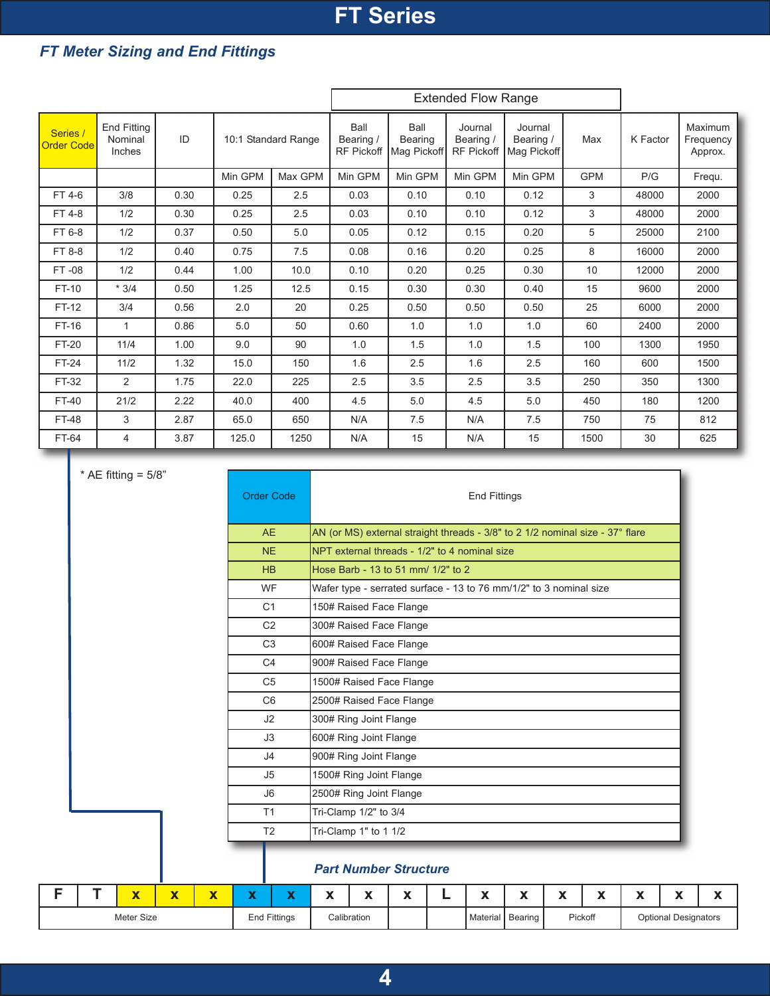### *FT Meter Sizing and End Fittings*

|                               |                                         |      |         |                     |                                        |                                | <b>Extended Flow Range</b>                |                                     |            |          |                                 |
|-------------------------------|-----------------------------------------|------|---------|---------------------|----------------------------------------|--------------------------------|-------------------------------------------|-------------------------------------|------------|----------|---------------------------------|
| Series /<br><b>Order Code</b> | <b>End Fitting</b><br>Nominal<br>Inches | ID   |         | 10:1 Standard Range | Ball<br>Bearing /<br><b>RF Pickoff</b> | Ball<br>Bearing<br>Mag Pickoff | Journal<br>Bearing /<br><b>RF Pickoff</b> | Journal<br>Bearing /<br>Mag Pickoff | Max        | K Factor | Maximum<br>Frequency<br>Approx. |
|                               |                                         |      | Min GPM | Max GPM             | Min GPM                                | Min GPM                        | Min GPM                                   | Min GPM                             | <b>GPM</b> | P/G      | Frequ.                          |
| FT 4-6                        | 3/8                                     | 0.30 | 0.25    | 2.5                 | 0.03                                   | 0.10                           | 0.10                                      | 0.12                                | 3          | 48000    | 2000                            |
| FT 4-8                        | 1/2                                     | 0.30 | 0.25    | 2.5                 | 0.03                                   | 0.10                           | 0.10                                      | 0.12                                | 3          | 48000    | 2000                            |
| FT 6-8                        | 1/2                                     | 0.37 | 0.50    | 5.0                 | 0.05                                   | 0.12                           | 0.15                                      | 0.20                                | 5          | 25000    | 2100                            |
| FT 8-8                        | 1/2                                     | 0.40 | 0.75    | 7.5                 | 0.08                                   | 0.16                           | 0.20                                      | 0.25                                | 8          | 16000    | 2000                            |
| FT-08                         | 1/2                                     | 0.44 | 1.00    | 10.0                | 0.10                                   | 0.20                           | 0.25                                      | 0.30                                | 10         | 12000    | 2000                            |
| FT-10                         | $*3/4$                                  | 0.50 | 1.25    | 12.5                | 0.15                                   | 0.30                           | 0.30                                      | 0.40                                | 15         | 9600     | 2000                            |
| FT-12                         | 3/4                                     | 0.56 | 2.0     | 20                  | 0.25                                   | 0.50                           | 0.50                                      | 0.50                                | 25         | 6000     | 2000                            |
| FT-16                         | 1                                       | 0.86 | 5.0     | 50                  | 0.60                                   | 1.0                            | 1.0                                       | 1.0                                 | 60         | 2400     | 2000                            |
| <b>FT-20</b>                  | 11/4                                    | 1.00 | 9.0     | 90                  | 1.0                                    | 1.5                            | 1.0                                       | 1.5                                 | 100        | 1300     | 1950                            |
| <b>FT-24</b>                  | 11/2                                    | 1.32 | 15.0    | 150                 | 1.6                                    | 2.5                            | 1.6                                       | 2.5                                 | 160        | 600      | 1500                            |
| FT-32                         | 2                                       | 1.75 | 22.0    | 225                 | 2.5                                    | 3.5                            | 2.5                                       | 3.5                                 | 250        | 350      | 1300                            |
| <b>FT-40</b>                  | 21/2                                    | 2.22 | 40.0    | 400                 | 4.5                                    | 5.0                            | 4.5                                       | 5.0                                 | 450        | 180      | 1200                            |
| <b>FT-48</b>                  | 3                                       | 2.87 | 65.0    | 650                 | N/A                                    | 7.5                            | N/A                                       | 7.5                                 | 750        | 75       | 812                             |
| FT-64                         | 4                                       | 3.87 | 125.0   | 1250                | N/A                                    | 15                             | N/A                                       | 15                                  | 1500       | 30       | 625                             |

 $*$  AE fitting =  $5/8$ "

| <b>Order Code</b> | <b>End Fittings</b>                                                           |
|-------------------|-------------------------------------------------------------------------------|
| AF                | AN (or MS) external straight threads - 3/8" to 2 1/2 nominal size - 37° flare |
| <b>NF</b>         | NPT external threads - 1/2" to 4 nominal size                                 |
| HR                | Hose Barb - 13 to 51 mm/ 1/2" to 2                                            |
| <b>WF</b>         | Wafer type - serrated surface - 13 to 76 mm/1/2" to 3 nominal size            |
| C <sub>1</sub>    | 150# Raised Face Flange                                                       |
| C <sub>2</sub>    | 300# Raised Face Flange                                                       |
| C <sub>3</sub>    | 600# Raised Face Flange                                                       |
| C <sub>4</sub>    | 900# Raised Face Flange                                                       |
| C <sub>5</sub>    | 1500# Raised Face Flange                                                      |
| C <sub>6</sub>    | 2500# Raised Face Flange                                                      |
| J2                | 300# Ring Joint Flange                                                        |
| J3                | 600# Ring Joint Flange                                                        |
| J <sub>4</sub>    | 900# Ring Joint Flange                                                        |
| J5                | 1500# Ring Joint Flange                                                       |
| J <sub>6</sub>    | 2500# Ring Joint Flange                                                       |
| T1                | Tri-Clamp 1/2" to 3/4                                                         |
| T <sub>2</sub>    | Tri-Clamp 1" to 1 1/2                                                         |

#### *Part Number Structure*

|  | - -        | $\overline{\phantom{a}}$ | - - | - - |              | $\blacksquare$<br>. . | $\blacksquare$ | $-$<br>. . | $ -$     | - -<br>-  | $\blacksquare$<br>- | $-$ | $\blacksquare$<br>. . | $\blacksquare$<br>$\overline{\phantom{a}}$ | $\mathbf{A}$<br>-- |
|--|------------|--------------------------|-----|-----|--------------|-----------------------|----------------|------------|----------|-----------|---------------------|-----|-----------------------|--------------------------------------------|--------------------|
|  | Meter Size |                          |     |     | End Fittings |                       | Calibration    |            | Material | I Bearing | Pickoff             |     |                       | <b>Optional Designators</b>                |                    |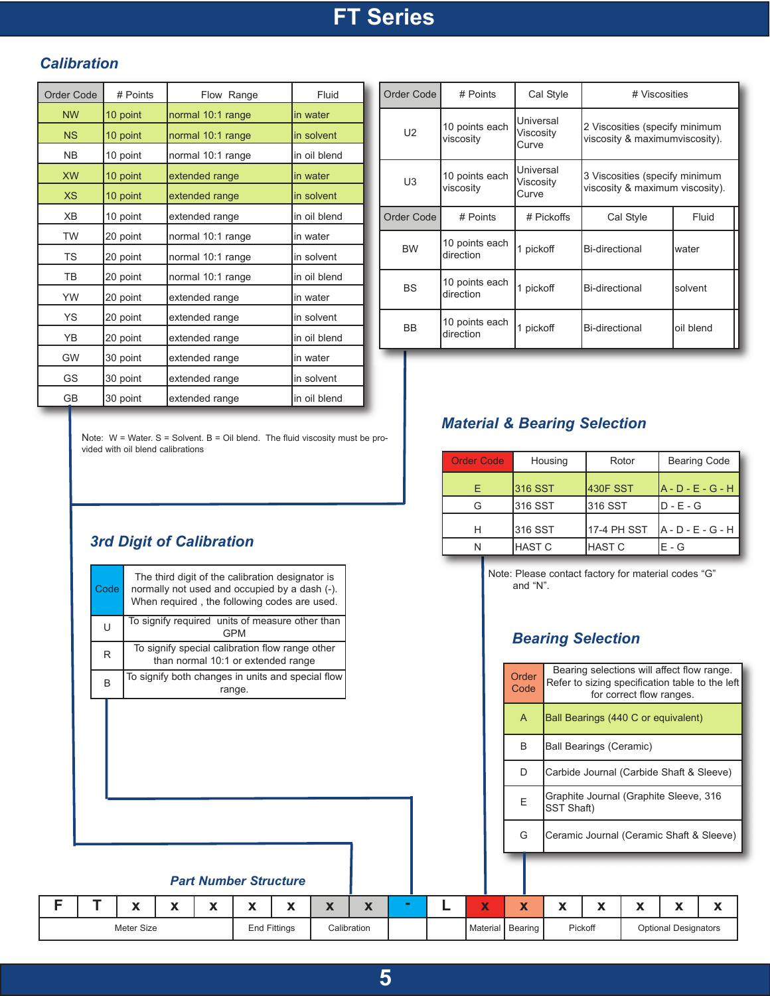### *Calibration*

| <b>Order Code</b> | # Points | Flow Range        | Fluid        |
|-------------------|----------|-------------------|--------------|
| <b>NW</b>         | 10 point | normal 10:1 range | lin water    |
| <b>NS</b>         | 10 point | normal 10:1 range | in solvent   |
| N <sub>B</sub>    | 10 point | normal 10:1 range | in oil blend |
| <b>XW</b>         | 10 point | extended range    | in water     |
| <b>XS</b>         | 10 point | extended range    | in solvent   |
| X <sub>B</sub>    | 10 point | extended range    | in oil blend |
| <b>TW</b>         | 20 point | normal 10:1 range | in water     |
| <b>TS</b>         | 20 point | normal 10:1 range | in solvent   |
| <b>TB</b>         | 20 point | normal 10:1 range | in oil blend |
| YW                | 20 point | extended range    | in water     |
| YS.               | 20 point | extended range    | in solvent   |
| YB                | 20 point | extended range    | in oil blend |
| <b>GW</b>         | 30 point | extended range    | in water     |
| GS                | 30 point | extended range    | in solvent   |
| GВ                | 30 point | extended range    | in oil blend |

| Order Code     | # Points                    | Cal Style                       | # Viscosities                                                     |           |
|----------------|-----------------------------|---------------------------------|-------------------------------------------------------------------|-----------|
| U <sub>2</sub> | 10 points each<br>viscosity | Universal<br>Viscosity<br>Curve | 2 Viscosities (specify minimum<br>viscosity & maximumviscosity).  |           |
| U <sub>3</sub> | 10 points each<br>viscosity | Universal<br>Viscosity<br>Curve | 3 Viscosities (specify minimum<br>viscosity & maximum viscosity). |           |
| Order Code     | # Points                    | # Pickoffs                      | Cal Style                                                         | Fluid     |
| <b>BW</b>      | 10 points each<br>direction | 1 pickoff                       | Bi-directional                                                    | water     |
| BS             | 10 points each<br>direction | 1 pickoff                       | Bi-directional                                                    | solvent   |
| BB             | 10 points each<br>direction | 1 pickoff                       | Bi-directional                                                    | oil blend |

Note:  $W = W$ ater. S = Solvent. B = Oil blend. The fluid viscosity must be provided with oil blend calibrations

### *Material & Bearing Selection*

| <b>Order Code</b> | Housing       | Rotor         | <b>Bearing Code</b> |
|-------------------|---------------|---------------|---------------------|
| F                 | 316 SST       | 430F SST      | $A - D - E - G - H$ |
|                   | 1316 SST      | l316 SST      | ID - E - G          |
| н                 | 316 SST       | 17-4 PH SST   | $A - D - E - G - H$ |
|                   | <b>HAST C</b> | <b>HAST C</b> | $F - G$             |

Note: Please contact factory for material codes "G" and "N".

### *Bearing Selection*

| гv. |            |   |   |                              | than normal 10:1 or extended range                |                           |                           |  |                         |                    |            |                                |                                                                                                                           |                             |   |
|-----|------------|---|---|------------------------------|---------------------------------------------------|---------------------------|---------------------------|--|-------------------------|--------------------|------------|--------------------------------|---------------------------------------------------------------------------------------------------------------------------|-----------------------------|---|
| B   |            |   |   | range.                       | To signify both changes in units and special flow |                           |                           |  |                         | Order<br>Code      |            |                                | Bearing selections will affect flow range.<br>Refer to sizing specification table to the left<br>for correct flow ranges. |                             |   |
|     |            |   |   |                              |                                                   |                           |                           |  |                         | $\overline{A}$     |            |                                | Ball Bearings (440 C or equivalent)                                                                                       |                             |   |
|     |            |   |   |                              |                                                   |                           |                           |  |                         | B                  |            | <b>Ball Bearings (Ceramic)</b> |                                                                                                                           |                             |   |
|     |            |   |   |                              |                                                   |                           |                           |  |                         | D                  |            |                                | Carbide Journal (Carbide Shaft & Sleeve)                                                                                  |                             |   |
|     |            |   |   |                              |                                                   |                           |                           |  |                         | E                  | SST Shaft) |                                | Graphite Journal (Graphite Sleeve, 316                                                                                    |                             |   |
|     |            |   |   |                              |                                                   |                           |                           |  |                         | G                  |            |                                | Ceramic Journal (Ceramic Shaft & Sleeve)                                                                                  |                             |   |
|     |            |   |   | <b>Part Number Structure</b> |                                                   |                           |                           |  |                         |                    |            |                                |                                                                                                                           |                             |   |
|     | X          | X | X | X                            | X                                                 | $\boldsymbol{\mathsf{x}}$ | $\boldsymbol{\mathsf{x}}$ |  | $\overline{\textbf{X}}$ | X                  | X          | X                              | X                                                                                                                         | X                           | X |
|     | Meter Size |   |   |                              | <b>End Fittings</b>                               | Calibration               |                           |  |                         | Material   Bearing |            | Pickoff                        |                                                                                                                           | <b>Optional Designators</b> |   |

### *3rd Digit of Calibration*

|  |              | x | x | x | x                                                                                                                                                 | x | X | X |  |
|--|--------------|---|---|---|---------------------------------------------------------------------------------------------------------------------------------------------------|---|---|---|--|
|  |              |   |   |   | <b>Part Number Structure</b>                                                                                                                      |   |   |   |  |
|  |              |   |   |   |                                                                                                                                                   |   |   |   |  |
|  |              |   |   |   |                                                                                                                                                   |   |   |   |  |
|  |              |   |   |   |                                                                                                                                                   |   |   |   |  |
|  | <sub>R</sub> |   |   |   | To signify both changes in units and special flow<br>range.                                                                                       |   |   |   |  |
|  | R            |   |   |   | To signify special calibration flow range other<br>than normal 10:1 or extended range                                                             |   |   |   |  |
|  | U            |   |   |   | To signify required units of measure other than<br><b>GPM</b>                                                                                     |   |   |   |  |
|  | Code         |   |   |   | The third digit of the calibration designator is<br>normally not used and occupied by a dash (-).<br>When required, the following codes are used. |   |   |   |  |
|  |              |   |   |   |                                                                                                                                                   |   |   |   |  |